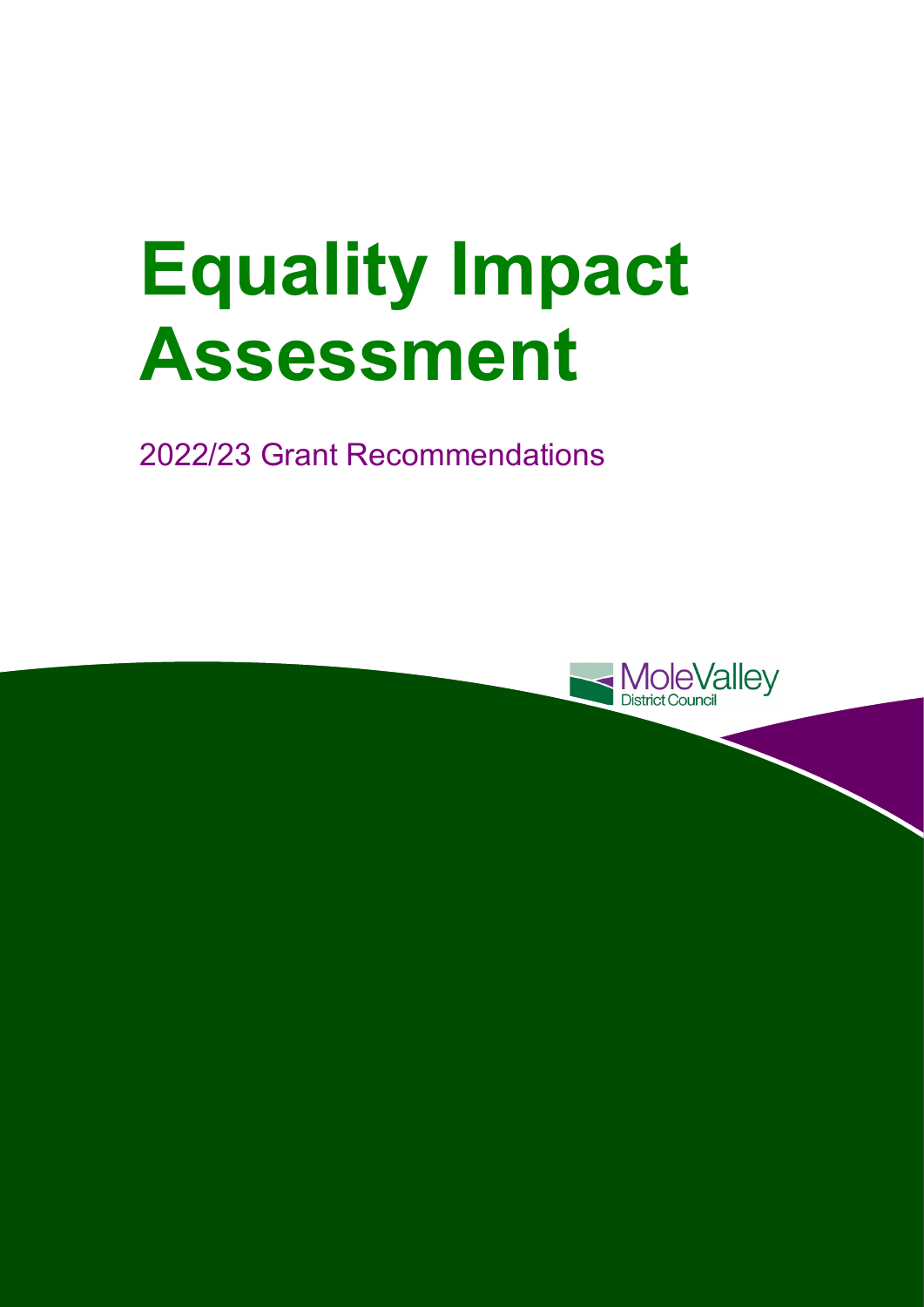# **Equality Impact Assessment**

2022/23 Grant Recommendations

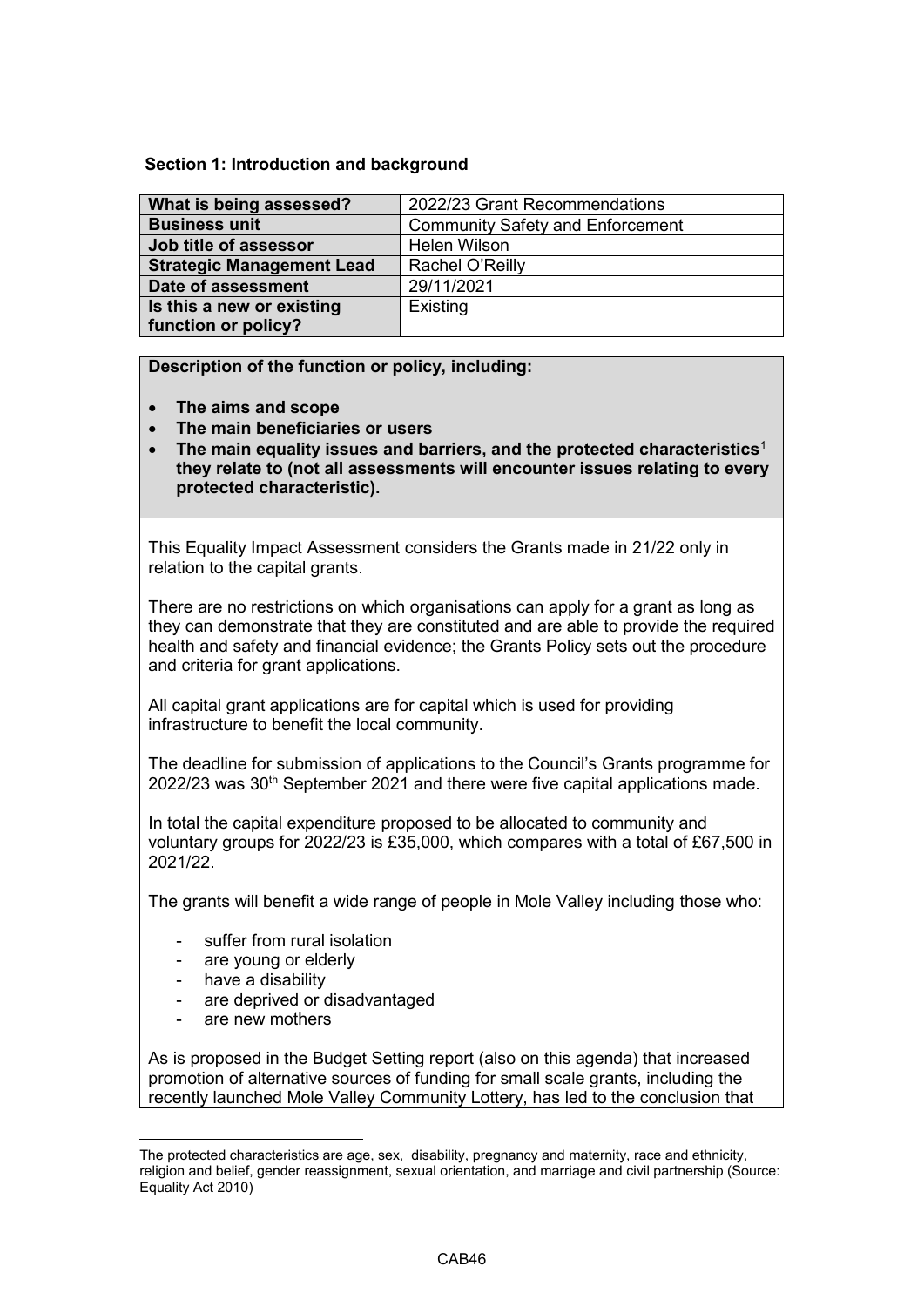**Section 1: Introduction and background** 

| What is being assessed?          | 2022/23 Grant Recommendations           |
|----------------------------------|-----------------------------------------|
| <b>Business unit</b>             | <b>Community Safety and Enforcement</b> |
| Job title of assessor            | <b>Helen Wilson</b>                     |
| <b>Strategic Management Lead</b> | Rachel O'Reilly                         |
| Date of assessment               | 29/11/2021                              |
| Is this a new or existing        | Existing                                |
| function or policy?              |                                         |

## **Description of the function or policy, including:**

- **The aims and scope**
- **The main beneficiaries or users**
- **they relate to (not all assessments will encounter issues relating to every** • **The main equality issues and barriers, and the protected characteristics**[1](#page-1-0)  **protected characteristic).**

This Equality Impact Assessment considers the Grants made in 21/22 only in relation to the capital grants.

There are no restrictions on which organisations can apply for a grant as long as they can demonstrate that they are constituted and are able to provide the required health and safety and financial evidence; the Grants Policy sets out the procedure and criteria for grant applications.

 All capital grant applications are for capital which is used for providing infrastructure to benefit the local community.

 The deadline for submission of applications to the Council's Grants programme for 2022/23 was 30<sup>th</sup> September 2021 and there were five capital applications made.

In total the capital expenditure proposed to be allocated to community and voluntary groups for 2022/23 is £35,000, which compares with a total of £67,500 in 2021/22.

The grants will benefit a wide range of people in Mole Valley including those who:

- suffer from rural isolation
- are young or elderly
- have a disability
- are deprived or disadvantaged
- are new mothers

<u>.</u>

 As is proposed in the Budget Setting report (also on this agenda) that increased promotion of alternative sources of funding for small scale grants, including the recently launched Mole Valley Community Lottery, has led to the conclusion that

<span id="page-1-0"></span> religion and belief, gender reassignment, sexual orientation, and marriage and civil partnership (Source: The protected characteristics are age, sex, disability, pregnancy and maternity, race and ethnicity, Equality Act 2010)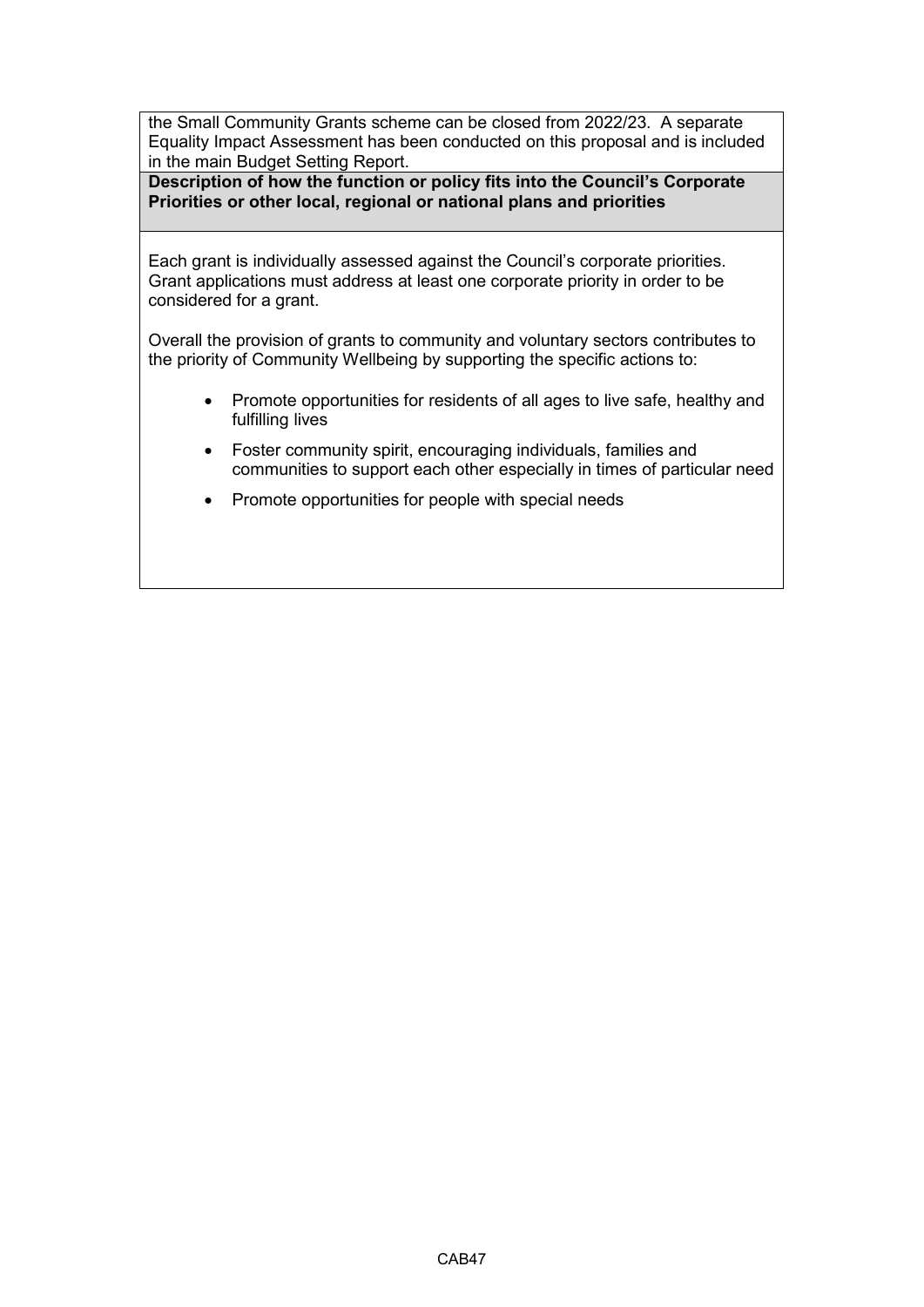the Small Community Grants scheme can be closed from 2022/23. A separate Equality Impact Assessment has been conducted on this proposal and is included in the main Budget Setting Report.

**Description of how the function or policy fits into the Council's Corporate Priorities or other local, regional or national plans and priorities** 

Each grant is individually assessed against the Council's corporate priorities. considered for a grant. Grant applications must address at least one corporate priority in order to be

Overall the provision of grants to community and voluntary sectors contributes to the priority of Community Wellbeing by supporting the specific actions to:

- Promote opportunities for residents of all ages to live safe, healthy and fulfilling lives
- communities to support each other especially in times of particular need • Foster community spirit, encouraging individuals, families and
- Promote opportunities for people with special needs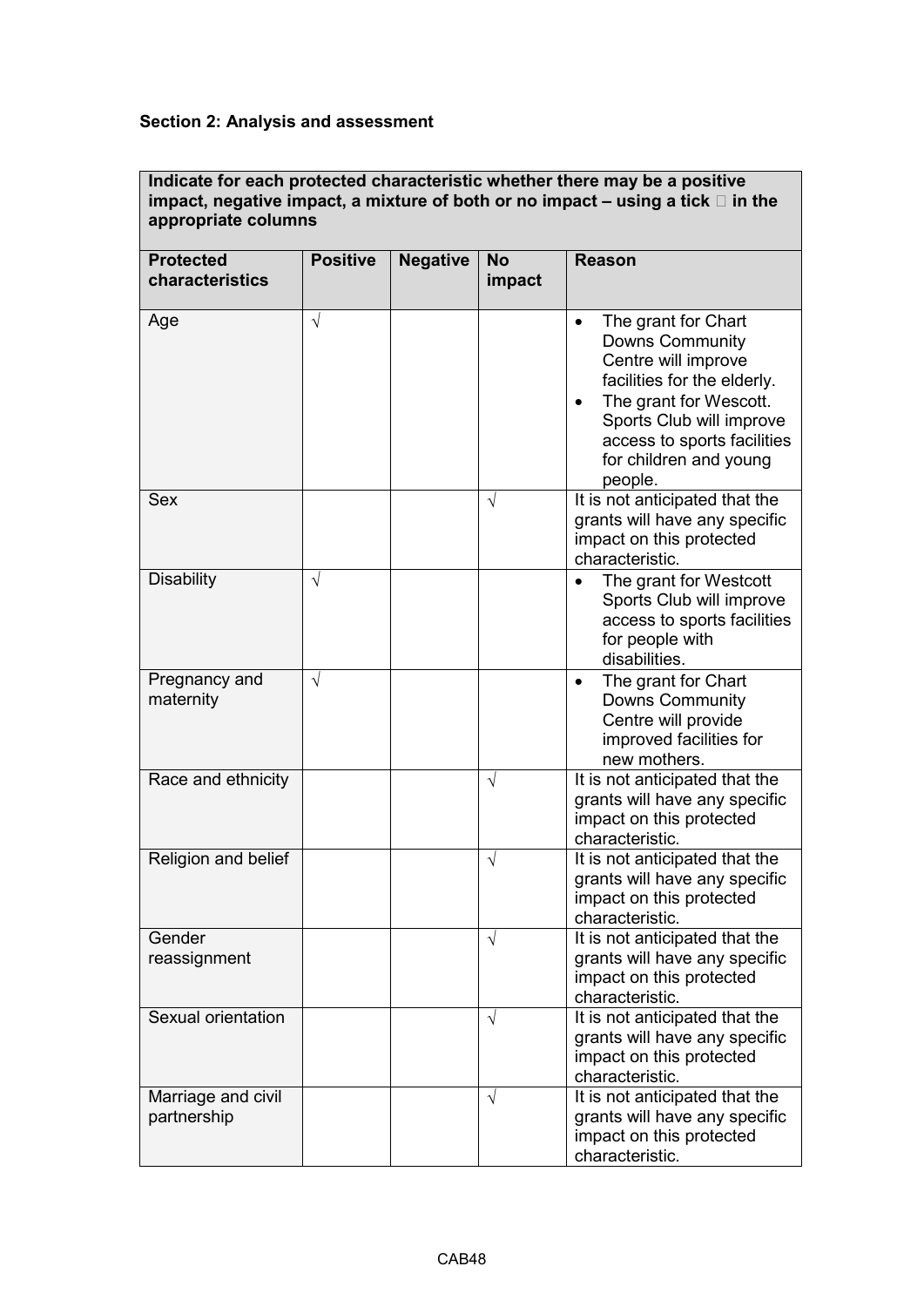# **Section 2: Analysis and assessment**

### **Indicate for each protected characteristic whether there may be a positive impact, negative impact, a mixture of both or no impact – using a tick in the appropriate columns**

| <b>Protected</b><br>characteristics | <b>Positive</b> | <b>Negative</b> | <b>No</b><br>impact | <b>Reason</b>                                                                                                                                                                                                                              |  |
|-------------------------------------|-----------------|-----------------|---------------------|--------------------------------------------------------------------------------------------------------------------------------------------------------------------------------------------------------------------------------------------|--|
| Age                                 | $\sqrt{}$       |                 |                     | The grant for Chart<br>$\bullet$<br><b>Downs Community</b><br>Centre will improve<br>facilities for the elderly.<br>The grant for Wescott.<br>Sports Club will improve<br>access to sports facilities<br>for children and young<br>people. |  |
| <b>Sex</b>                          |                 |                 | $\sqrt{ }$          | It is not anticipated that the<br>grants will have any specific<br>impact on this protected<br>characteristic.                                                                                                                             |  |
| <b>Disability</b>                   | V               |                 |                     | The grant for Westcott<br>Sports Club will improve<br>access to sports facilities<br>for people with<br>disabilities.                                                                                                                      |  |
| Pregnancy and<br>maternity          | $\sqrt{}$       |                 |                     | The grant for Chart<br>$\bullet$<br><b>Downs Community</b><br>Centre will provide<br>improved facilities for<br>new mothers.                                                                                                               |  |
| Race and ethnicity                  |                 |                 | $\sqrt{ }$          | It is not anticipated that the<br>grants will have any specific<br>impact on this protected<br>characteristic.                                                                                                                             |  |
| Religion and belief                 |                 |                 | $\sqrt{}$           | It is not anticipated that the<br>grants will have any specific<br>impact on this protected<br>characteristic.                                                                                                                             |  |
| Gender<br>reassignment              |                 |                 |                     | It is not anticipated that the<br>grants will have any specific<br>impact on this protected<br>characteristic.                                                                                                                             |  |
| Sexual orientation                  |                 |                 | $\sqrt{}$           | It is not anticipated that the<br>grants will have any specific<br>impact on this protected<br>characteristic.                                                                                                                             |  |
| Marriage and civil<br>partnership   |                 |                 | $\sqrt{ }$          | It is not anticipated that the<br>grants will have any specific<br>impact on this protected<br>characteristic.                                                                                                                             |  |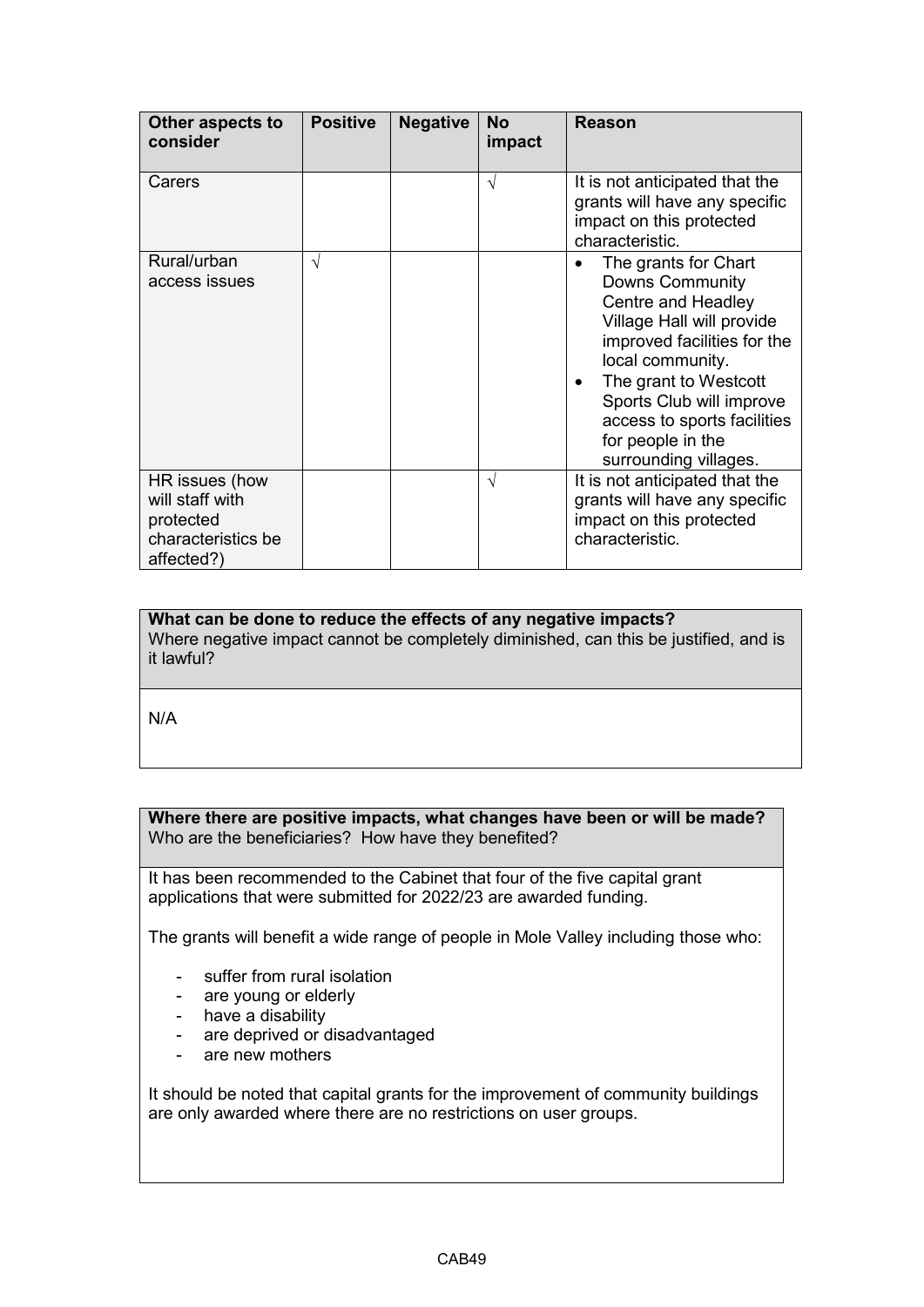| Other aspects to<br>consider                                                       | <b>Positive</b> | <b>Negative</b> | <b>No</b><br>impact | Reason                                                                                                                                                                                                                                                                                 |
|------------------------------------------------------------------------------------|-----------------|-----------------|---------------------|----------------------------------------------------------------------------------------------------------------------------------------------------------------------------------------------------------------------------------------------------------------------------------------|
| Carers                                                                             |                 |                 | $\sqrt{ }$          | It is not anticipated that the<br>grants will have any specific<br>impact on this protected<br>characteristic.                                                                                                                                                                         |
| Rural/urban<br>access issues                                                       | N               |                 |                     | The grants for Chart<br><b>Downs Community</b><br>Centre and Headley<br>Village Hall will provide<br>improved facilities for the<br>local community.<br>The grant to Westcott<br>Sports Club will improve<br>access to sports facilities<br>for people in the<br>surrounding villages. |
| HR issues (how<br>will staff with<br>protected<br>characteristics be<br>affected?) |                 |                 | V                   | It is not anticipated that the<br>grants will have any specific<br>impact on this protected<br>characteristic.                                                                                                                                                                         |

**What can be done to reduce the effects of any negative impacts?**

Where negative impact cannot be completely diminished, can this be justified, and is it lawful?

N/A

**Where there are positive impacts, what changes have been or will be made?**  Who are the beneficiaries? How have they benefited?

 It has been recommended to the Cabinet that four of the five capital grant applications that were submitted for 2022/23 are awarded funding.

The grants will benefit a wide range of people in Mole Valley including those who:

- suffer from rural isolation
- are young or elderly
- have a disability
- are deprived or disadvantaged
- are new mothers

 are only awarded where there are no restrictions on user groups. It should be noted that capital grants for the improvement of community buildings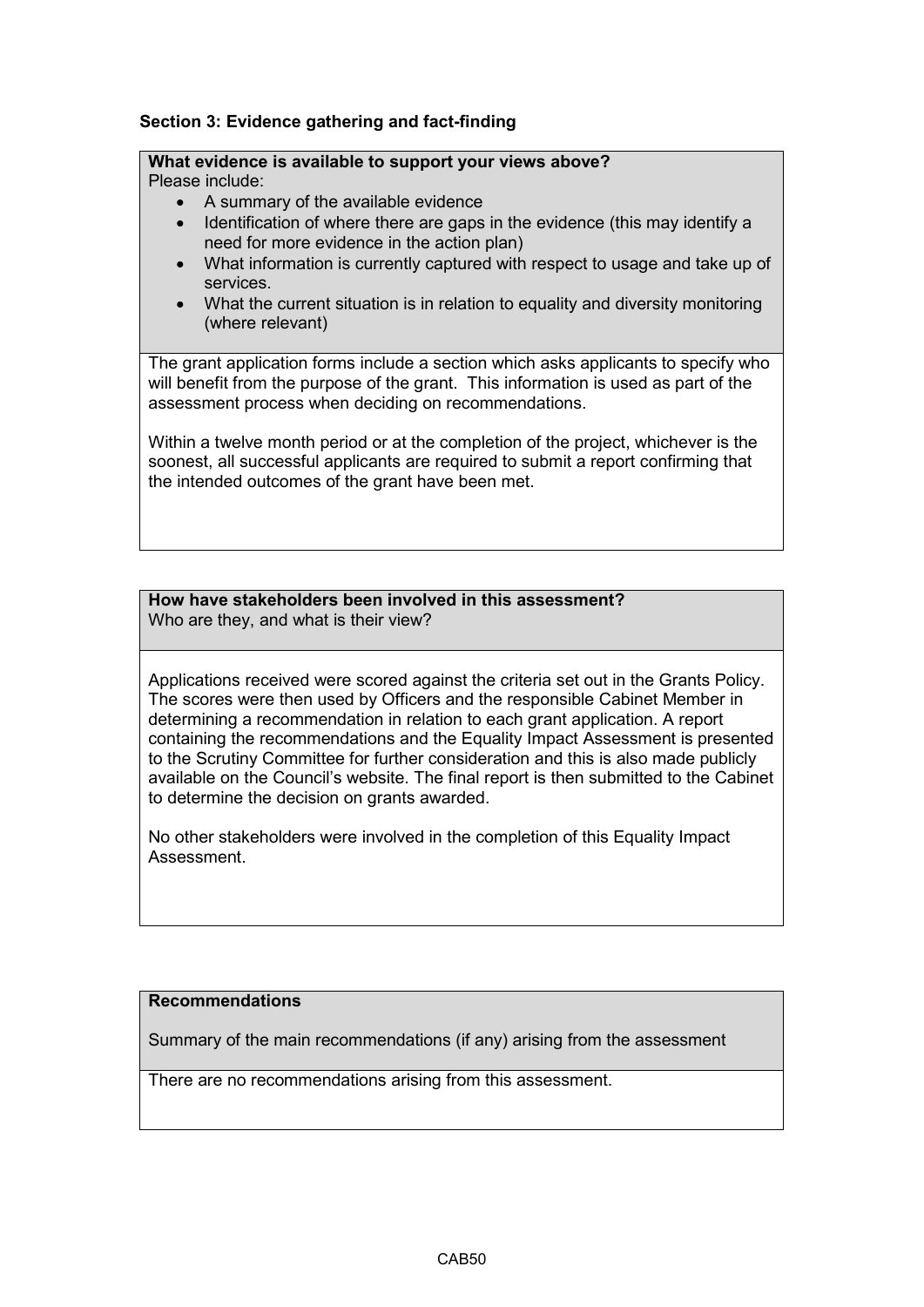## **Section 3: Evidence gathering and fact-finding**

# **What evidence is available to support your views above?**

Please include:

- A summary of the available evidence
- Identification of where there are gaps in the evidence (this may identify a need for more evidence in the action plan)
- services. • What information is currently captured with respect to usage and take up of
- What the current situation is in relation to equality and diversity monitoring (where relevant)

 will benefit from the purpose of the grant. This information is used as part of the The grant application forms include a section which asks applicants to specify who assessment process when deciding on recommendations.

Within a twelve month period or at the completion of the project, whichever is the soonest, all successful applicants are required to submit a report confirming that the intended outcomes of the grant have been met.

### **How have stakeholders been involved in this assessment?** Who are they, and what is their view?

 determining a recommendation in relation to each grant application. A report Applications received were scored against the criteria set out in the Grants Policy. The scores were then used by Officers and the responsible Cabinet Member in containing the recommendations and the Equality Impact Assessment is presented to the Scrutiny Committee for further consideration and this is also made publicly available on the Council's website. The final report is then submitted to the Cabinet to determine the decision on grants awarded.

 Assessment. No other stakeholders were involved in the completion of this Equality Impact

## **Recommendations**

Summary of the main recommendations (if any) arising from the assessment

There are no recommendations arising from this assessment.